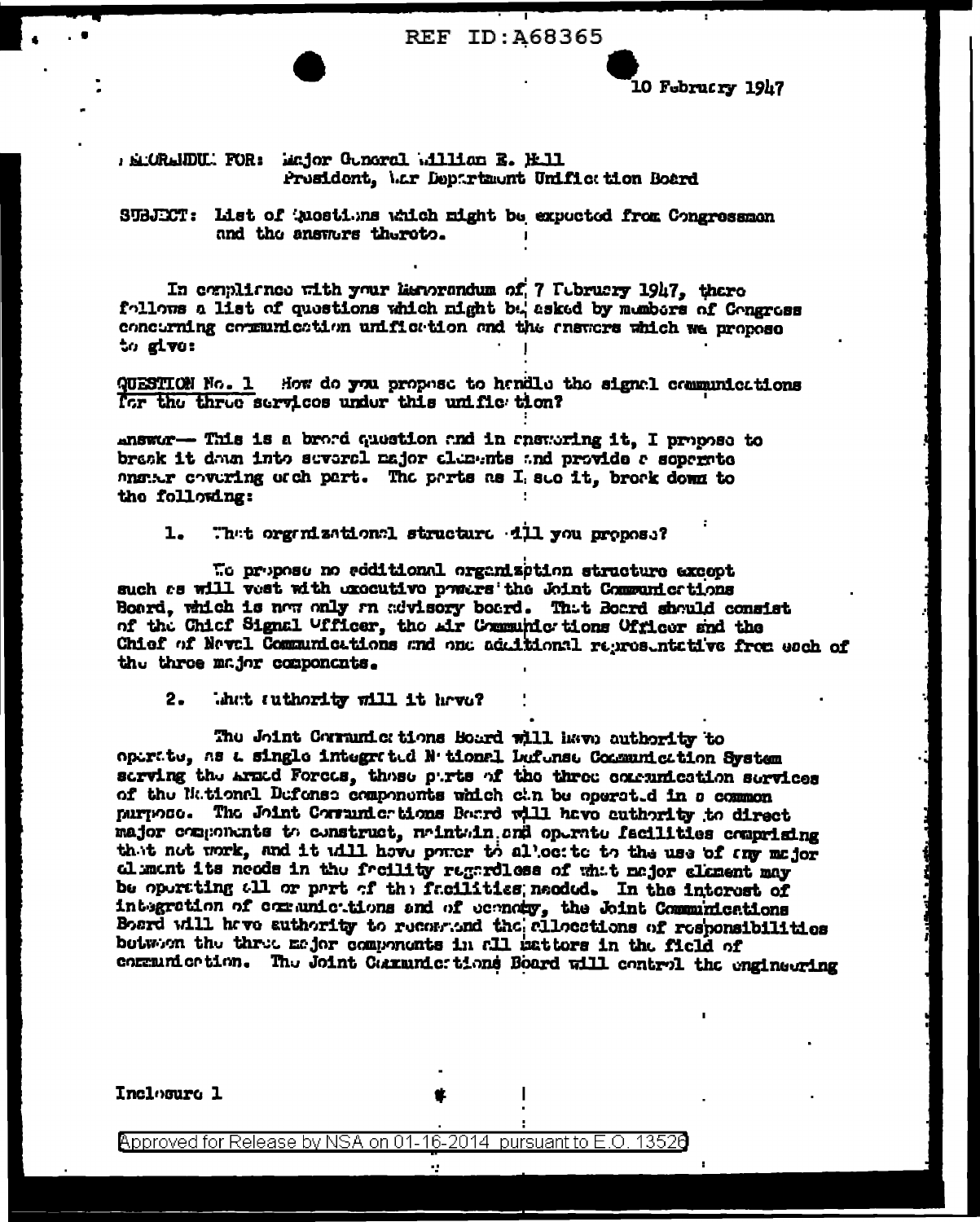**REF ID: A68365** 

**10 Februcry 1947** 

BLORLIDU. FOR: Endor Guncral Blind B. H.11 Prosident, Mar Department Unified tion Board

SUBJECT: List of 'nostions which might be expected from Congressmen and the answers thereto.

In compliance with your herorondum of 7 Tebruary 1947, there follows a list of questions which might but asked by members of Congress concurning communication unification and the ensurers which we propose to give:

QUESTION No. 1 How do you propose to hendle the signel communications for the three services under this unific tion?

answor-- This is a brord question and in ensworing it, I propose to bresk it data into several major clements and provide a separate anguar covering of ch part. The parts as I see it, broak down to the following:

That organizational structure dil you propose?  $\mathbf{1}$ .

To propose no soditional organization structure except such as will vest with executive powers the Joint Communications Board, which is now only an advisory board. That Board should consist of the Chief Signal Ufficer, the Air Communie tions Officer and the Chief of Neval Communications and one adultional representative from each of the three major components.

That suthority will it have?  $2.$ 

The Joint Corrunic tions Board will have authority to operate, as a single integrated N tional beforese Communication System serving the Aradd Forces, those purts of the three communication services of the National Defense components which can be operated in a common nurnoso. The Joint Corrunicrtions Board will have authority to direct major components to construct, nointoing one operato facilities comprising that not work, and it will have power to allocite to the use of any major alument its needs in the freility regardless of what major element may be operating all or part of the facilities, needed. In the interest of integration of communic tions and of economy, the Joint Communications Board will have authority to reconsioned the allocations of responsibilities botween the three major components in all patters in the field of communication. The Joint Cammunic tions Board will control the engineering

Inclosure 1

Approved for Release by NSA on 01-16-2014 pursuant to E.O. 13526

έgν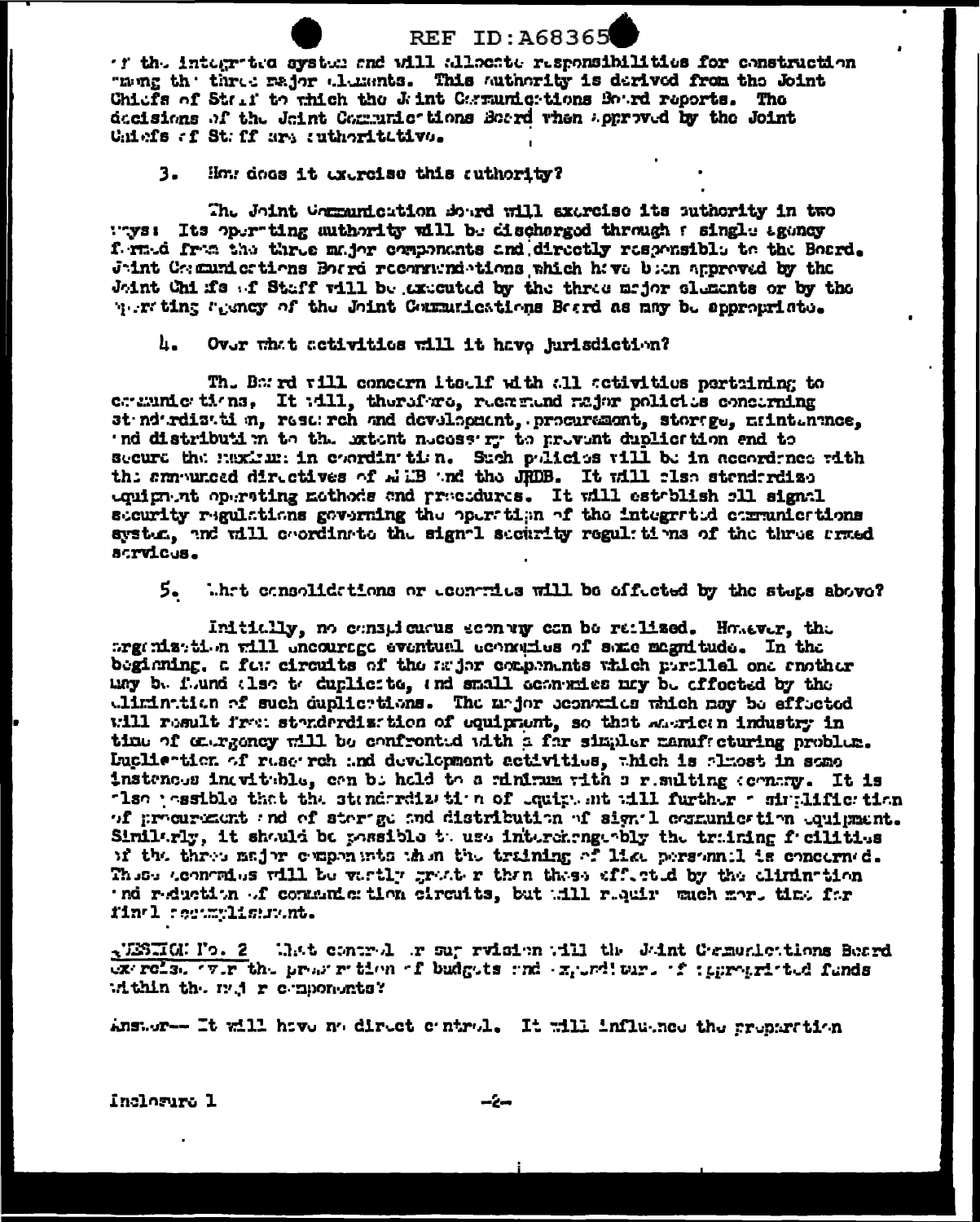**REF ID: A68365** 'f the integrated system and will allocate responsibilities for construction Theng the three rajor clements. This authority is derived from the Joint Chiefs of Stall to thich the Jaint Corrunications Board reports. The decisions of the Joint Communic tions Beard when approved by the Joint Uniefs of St. ff are sutheritative.

 $3.$ How does it exercise this suthority?

The Joint Communication Bourd will exercise its sutherity in two "ys: Its operting authority will be discharged through a single agency formed from the three major components and directly responsible to the Board. Joint Communications Borrd recorrented tions which have been approved by the Joint Chi fis of Staff will be axecuted by the three major sluments or by the werting agency of the Joint Communications Board as may be approunisted.

հ. Over what activities will it have jurisdiction?

The Barrd vill concern itself with all activities parteining to covaring tions. It will, therefore, recomend rajor policies concerning st nd rdiz ti n, rest rch and develogatnt, programmt, storige, mintenance, 'nd distribution to the extent necess'ry to prevent duplication and to secure the maximum in coordination. Such policies will be in accordance with the summunced directives of whiB and the JRDB. It will clso stenderdize equipment operating nothods and presedures. It will establish all signal steurity regulations governing the operation of the integrated communications system, and will coordinate the signal security regulations of the three armed strvicus.

5. What consolidations or contrius will be effected by the steps above?

Initially, no conspicuous sconvig con be ratlized. Homever, the traintation will encourage eventual economies of some magnitude. In the beginning, a formetrical test of the major components which perclied one enother may be found that to duplicite, and small economies may be effected by the elimination of such duplications. The unjor sconomics which may be effected will result from standardization of equipment, so that anonican industry in time of energoney will be confronted with a for simpler nameficturing problem. Duclie-tien of ruse rch and development activities, thich is almost in some insteness inevitable, can be held to a rinimum with a resulting compress It is that pessible that the stenderdize it a of equiplent will further a similifier tion of prodretant and of sterage and distribution of signal communication equipment. Similarly, it should be possible to use interchange-bly the training facilities of the three major components then the training of like personnel is concerned. These contracts will be varily grater than these affected by the climination ind reduction of communication circuits, but till requir much more time for final communitations.

NESIGNI's. 2 What control or sur rvision will the Joint Communications Beard extreis. The preservation of budgets and expediture of iggregated funds Athin the rad r components?

Answer- It will have no direct control. It will influence the preparation

inclosura 1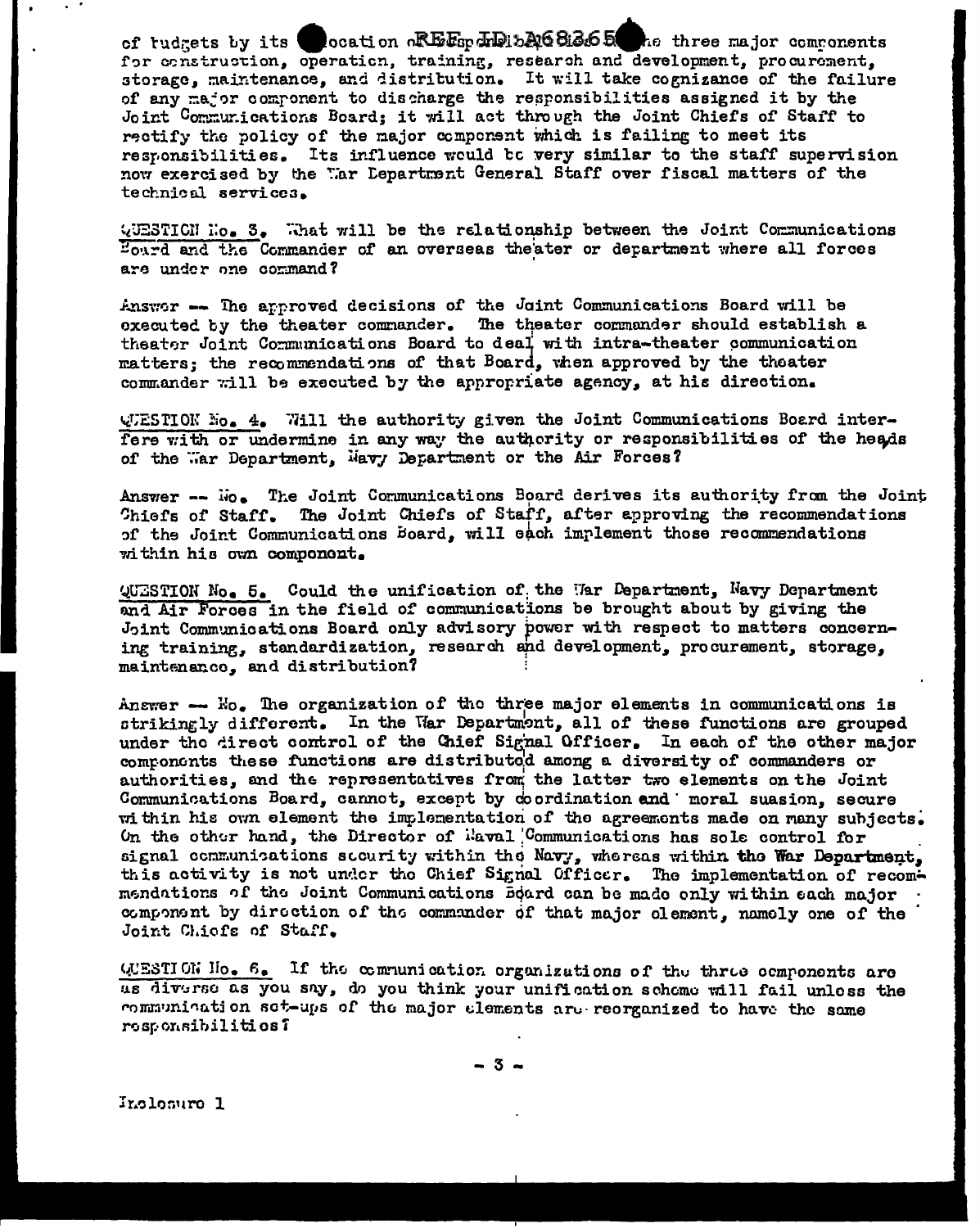of tudgets by its cocation REEspADitA68365 he three major commonents for construction, operation, training, research and development, procurement. storage, maintenance, and distritution. It will take cognizance of the failure of any major component to discharge the responsibilities assigned it by the Joint Communications Board: it will act through the Joint Chiefs of Staff to rectify the policy of the major component which is failing to meet its responsibilities. Its influence would be very similar to the staff supervision now exercised by the War Lepartment General Staff over fiscal matters of the technical services.

QUESTICN No. 3. What will be the relationship between the Joint Communications Bourd and the Commander of an overseas theater or department where all forces are under one command?

Answor -- The approved decisions of the Joint Communications Board will be executed by the theater commander. The theater commander should establish a theater Joint Communications Board to deal with intra-theater communication matters; the recommendations of that Board, when approved by the theater commander will be executed by the appropriate agency, at his direction.

WUESTION No. 4. Will the authority given the Joint Communications Board interfere with or undermine in any way the authority or responsibilities of the heads of the Mar Department, Mavy Department or the Air Forces?

Answer -- No. The Joint Communications Board derives its authority from the Joint Chiefs of Staff. The Joint Chiefs of Staff, after approving the recommendations of the Joint Communications board, will each implement those recommendations within his own component.

QUESTION No. 5. Could the unification of the War Department, Navy Department and Air Forces in the field of communications be brought about by giving the Joint Communications Board only advisory power with respect to matters concerning training, standardization, research and development, procurement, storage, maintenanco. and distribution?

Answer  $\log$  The organization of the three major elements in communications is strikingly different. In the War Departmont, all of these functions are grouped under the direct control of the Chief Signal Officer. In each of the other major components these functions are distributed among a diversity of commanders or authorities, and the representatives from the latter two elements on the Joint Communications Board, cannot, except by coordination and moral suasion, secure within his own element the implementation of the agreements made on many subjects. On the other hand, the Director of *ilaval* Communications has sole control for signal communications security within the Navy, whereas within the War Department, this activity is not under the Chief Signal Officer. The implementation of recommendations of the Joint Communications Board can be made only within each major component by direction of the commander of that major element, namely one of the Joint Chiefs of Staff.

QUESTION No. 6. If the communication organizations of the three components are us diverse as you say, do you think your unification scheme will fail unless the communication set-ups of the major elements are reorganized to have the same responsibilities?

-3-

Incleaure 1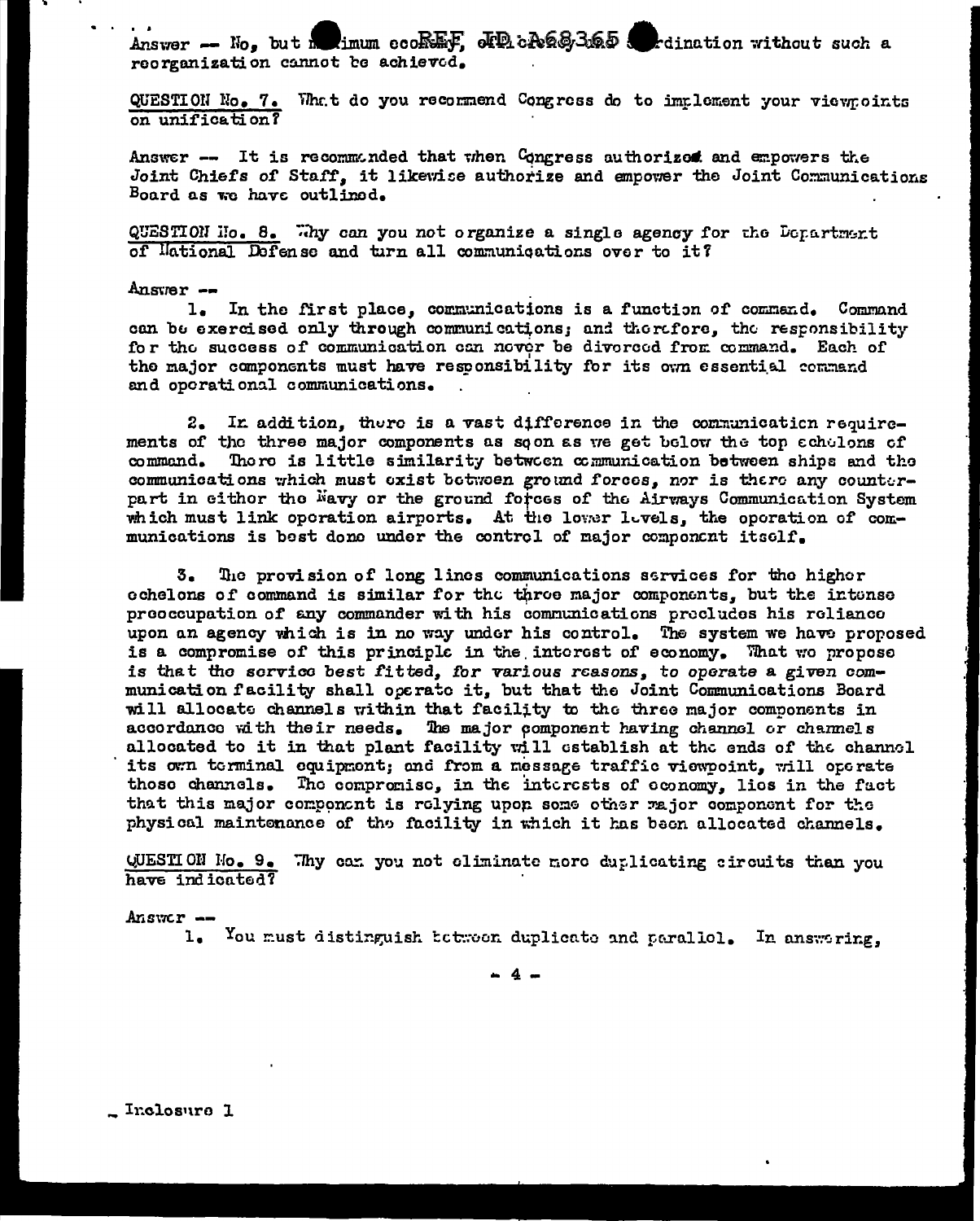Answer -- No, but me limum ecoREF, JPR cA68365 and relination without such a reorganization cannot be achieved.

QUESTION No. 7. What do you recommend Congress do to implement your viewpoints on unification?

Answer -- It is recommunded that when Congress authorized and empowers the Joint Chiefs of Staff, it likewise authorize and empower the Joint Communications Board as we have outlined.

QUESTION Mo. 8. Thy can you not organize a single agency for the Department of lational Defense and turn all communications over to it?

## $Answer -$

1. In the first place, communications is a function of command. Command can be exercised only through communications; and therefore, the responsibility for the success of communication can never be diverced from command. Each of the major components must have responsibility for its own essential command and operational communications.

2. In addition, there is a vast difference in the communication requirements of the three major components as soon as we get below the top acholons of command. There is little similarity between communication between ships and the communications which must exist between ground forces. nor is there any counterpart in eithor the Navy or the ground forces of the Airways Communication System which must link operation airports. At the lower levels, the operation of communications is bost done under the control of major component itself.

The provision of long lines communications services for the higher 3. cchelons of command is similar for the throe major components, but the intense preoccupation of any commander with his communications precludes his reliance upon an agency which is in no way under his control. The system we have proposed is a compromise of this principle in the interest of economy. That we propose is that the service best fitted. for various reasons, to operate a given communication facility shall operate it, but that the Joint Communications Board will allocate channels within that facility to the three major components in accordance with their needs. The major component having channel or channels allocated to it in that plant facility will establish at the ends of the channel its own terminal equipment; and from a message traffic viewpoint, will operate those channels. The compromise, in the interests of economy. lies in the fact that this major component is relying upon some other rajor component for the physical maintenance of the facility in which it has been allocated channels.

QUESTION Mo. 9. Thy can you not climinate nore duplicating circuits than you have indicated?

Answer -

1. You must distinguish between duplicate and parallel. In answering,

 $-4-$